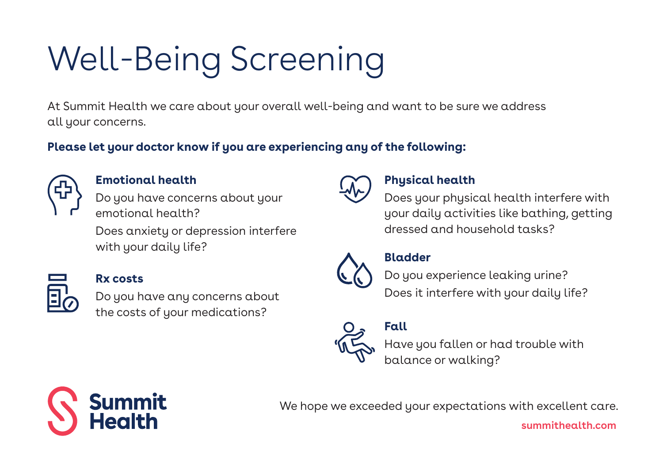# Well-Being Screening

At Summit Health we care about your overall well-being and want to be sure we address all your concerns.

**Please let your doctor know if you are experiencing any of the following:**



#### **Emotional health**

Do you have concerns about your emotional health?

Does anxiety or depression interfere with your daily life?



#### **Rx costs**

Do you have any concerns about the costs of your medications?



#### **Physical health**

Does your physical health interfere with your daily activities like bathing, getting dressed and household tasks?



**Bladder**



Do you experience leaking urine? Does it interfere with your daily life?



**Fall**

Have you fallen or had trouble with balance or walking?

Summit<br>Health

We hope we exceeded your expectations with excellent care.

**summithealth.com**